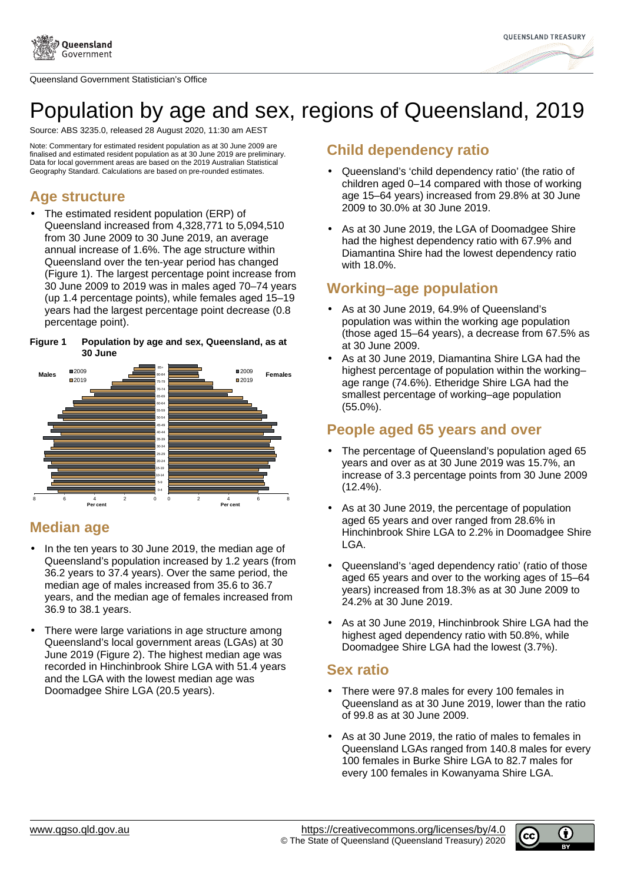

Queensland Government Statistician's Office



# Population by age and sex, regions of Queensland, 2019

Source: ABS 3235.0, released 28 August 2020, 11:30 am AEST

Note: Commentary for estimated resident population as at 30 June 2009 are finalised and estimated resident population as at 30 June 2019 are preliminary. Data for local government areas are based on the 2019 Australian Statistical Geography Standard. Calculations are based on pre-rounded estimates.

## **Age structure**

The estimated resident population (ERP) of Queensland increased from 4,328,771 to 5,094,510 from 30 June 2009 to 30 June 2019, an average annual increase of 1.6%. The age structure within Queensland over the ten-year period has changed (Figure 1). The largest percentage point increase from 30 June 2009 to 2019 was in males aged 70–74 years (up 1.4 percentage points), while females aged 15–19 years had the largest percentage point decrease (0.8 percentage point).

#### **Figure 1 Population by age and sex, Queensland, as at 30 June**



## **Median age**

- In the ten years to 30 June 2019, the median age of Queensland's population increased by 1.2 years (from 36.2 years to 37.4 years). Over the same period, the median age of males increased from 35.6 to 36.7 years, and the median age of females increased from 36.9 to 38.1 years.
- There were large variations in age structure among Queensland's local government areas (LGAs) at 30 June 2019 (Figure 2). The highest median age was recorded in Hinchinbrook Shire LGA with 51.4 years and the LGA with the lowest median age was Doomadgee Shire LGA (20.5 years).

#### **Child dependency ratio**

- Queensland's 'child dependency ratio' (the ratio of children aged 0–14 compared with those of working age 15–64 years) increased from 29.8% at 30 June 2009 to 30.0% at 30 June 2019.
- As at 30 June 2019, the LGA of Doomadgee Shire had the highest dependency ratio with 67.9% and Diamantina Shire had the lowest dependency ratio with 18.0%.

# **Working–age population**

- As at 30 June 2019, 64.9% of Queensland's population was within the working age population (those aged 15–64 years), a decrease from 67.5% as at 30 June 2009.
- As at 30 June 2019, Diamantina Shire LGA had the highest percentage of population within the working– age range (74.6%). Etheridge Shire LGA had the smallest percentage of working–age population (55.0%).

## **People aged 65 years and over**

- The percentage of Queensland's population aged 65 years and over as at 30 June 2019 was 15.7%, an increase of 3.3 percentage points from 30 June 2009 (12.4%).
- As at 30 June 2019, the percentage of population aged 65 years and over ranged from 28.6% in Hinchinbrook Shire LGA to 2.2% in Doomadgee Shire LGA.
- Queensland's 'aged dependency ratio' (ratio of those aged 65 years and over to the working ages of 15–64 years) increased from 18.3% as at 30 June 2009 to 24.2% at 30 June 2019.
- As at 30 June 2019, Hinchinbrook Shire LGA had the highest aged dependency ratio with 50.8%, while Doomadgee Shire LGA had the lowest (3.7%).

#### **Sex ratio**

- There were 97.8 males for every 100 females in Queensland as at 30 June 2019, lower than the ratio of 99.8 as at 30 June 2009.
- As at 30 June 2019, the ratio of males to females in Queensland LGAs ranged from 140.8 males for every 100 females in Burke Shire LGA to 82.7 males for every 100 females in Kowanyama Shire LGA.